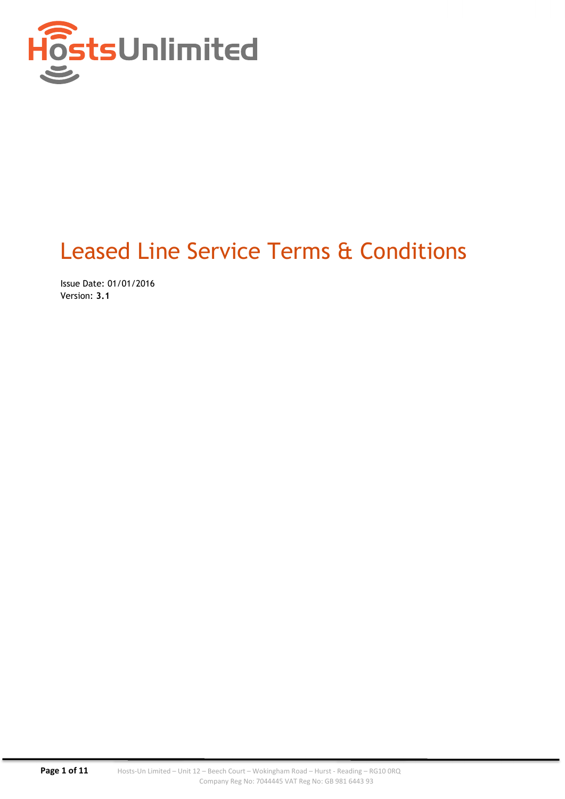

# Leased Line Service Terms & Conditions

Issue Date: 01/01/2016 Version: 3.1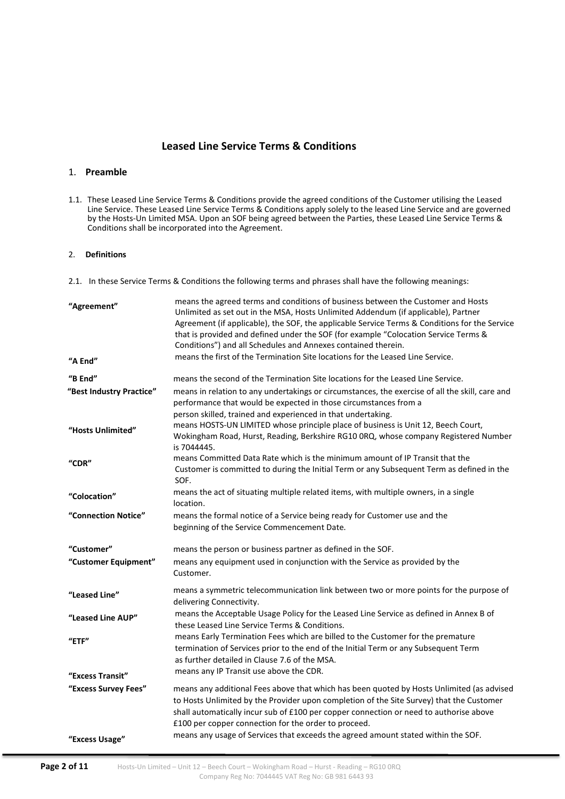# Leased Line Service Terms & Conditions

# 1. Preamble

1.1. These Leased Line Service Terms & Conditions provide the agreed conditions of the Customer utilising the Leased Line Service. These Leased Line Service Terms & Conditions apply solely to the leased Line Service and are governed by the Hosts-Un Limited MSA. Upon an SOF being agreed between the Parties, these Leased Line Service Terms & Conditions shall be incorporated into the Agreement.

# 2. Definitions

2.1. In these Service Terms & Conditions the following terms and phrases shall have the following meanings:

| "Agreement"              | means the agreed terms and conditions of business between the Customer and Hosts<br>Unlimited as set out in the MSA, Hosts Unlimited Addendum (if applicable), Partner<br>Agreement (if applicable), the SOF, the applicable Service Terms & Conditions for the Service<br>that is provided and defined under the SOF (for example "Colocation Service Terms &<br>Conditions") and all Schedules and Annexes contained therein. |  |  |  |  |
|--------------------------|---------------------------------------------------------------------------------------------------------------------------------------------------------------------------------------------------------------------------------------------------------------------------------------------------------------------------------------------------------------------------------------------------------------------------------|--|--|--|--|
| "A End"                  | means the first of the Termination Site locations for the Leased Line Service.                                                                                                                                                                                                                                                                                                                                                  |  |  |  |  |
| "B End"                  | means the second of the Termination Site locations for the Leased Line Service.                                                                                                                                                                                                                                                                                                                                                 |  |  |  |  |
| "Best Industry Practice" | means in relation to any undertakings or circumstances, the exercise of all the skill, care and<br>performance that would be expected in those circumstances from a                                                                                                                                                                                                                                                             |  |  |  |  |
| "Hosts Unlimited"        | person skilled, trained and experienced in that undertaking.<br>means HOSTS-UN LIMITED whose principle place of business is Unit 12, Beech Court,<br>Wokingham Road, Hurst, Reading, Berkshire RG10 0RQ, whose company Registered Number<br>is 7044445.                                                                                                                                                                         |  |  |  |  |
| "CDR"                    | means Committed Data Rate which is the minimum amount of IP Transit that the<br>Customer is committed to during the Initial Term or any Subsequent Term as defined in the<br>SOF.                                                                                                                                                                                                                                               |  |  |  |  |
| "Colocation"             | means the act of situating multiple related items, with multiple owners, in a single<br>location.                                                                                                                                                                                                                                                                                                                               |  |  |  |  |
| "Connection Notice"      | means the formal notice of a Service being ready for Customer use and the<br>beginning of the Service Commencement Date.                                                                                                                                                                                                                                                                                                        |  |  |  |  |
| "Customer"               | means the person or business partner as defined in the SOF.                                                                                                                                                                                                                                                                                                                                                                     |  |  |  |  |
| "Customer Equipment"     | means any equipment used in conjunction with the Service as provided by the<br>Customer.                                                                                                                                                                                                                                                                                                                                        |  |  |  |  |
| "Leased Line"            | means a symmetric telecommunication link between two or more points for the purpose of<br>delivering Connectivity.                                                                                                                                                                                                                                                                                                              |  |  |  |  |
| "Leased Line AUP"        | means the Acceptable Usage Policy for the Leased Line Service as defined in Annex B of<br>these Leased Line Service Terms & Conditions.                                                                                                                                                                                                                                                                                         |  |  |  |  |
| $"$ ETF"                 | means Early Termination Fees which are billed to the Customer for the premature<br>termination of Services prior to the end of the Initial Term or any Subsequent Term<br>as further detailed in Clause 7.6 of the MSA.                                                                                                                                                                                                         |  |  |  |  |
| "Excess Transit"         | means any IP Transit use above the CDR.                                                                                                                                                                                                                                                                                                                                                                                         |  |  |  |  |
| "Excess Survey Fees"     | means any additional Fees above that which has been quoted by Hosts Unlimited (as advised<br>to Hosts Unlimited by the Provider upon completion of the Site Survey) that the Customer<br>shall automatically incur sub of £100 per copper connection or need to authorise above<br>£100 per copper connection for the order to proceed.                                                                                         |  |  |  |  |
| "Excess Usage"           | means any usage of Services that exceeds the agreed amount stated within the SOF.                                                                                                                                                                                                                                                                                                                                               |  |  |  |  |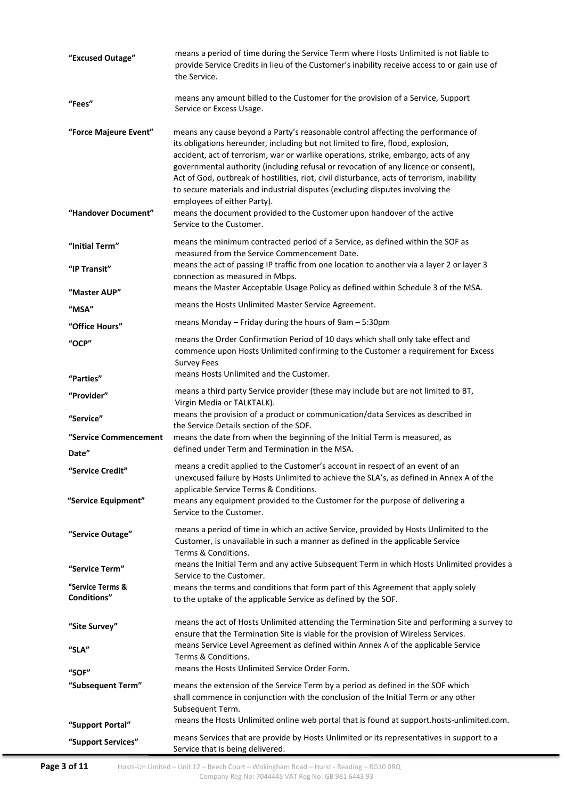| "Excused Outage"                             | means a period of time during the Service Term where Hosts Unlimited is not liable to<br>provide Service Credits in lieu of the Customer's inability receive access to or gain use of<br>the Service.                                                                                                                                                                                                                                                                                                                                                                                                                                                                  |  |  |  |
|----------------------------------------------|------------------------------------------------------------------------------------------------------------------------------------------------------------------------------------------------------------------------------------------------------------------------------------------------------------------------------------------------------------------------------------------------------------------------------------------------------------------------------------------------------------------------------------------------------------------------------------------------------------------------------------------------------------------------|--|--|--|
| "Fees"                                       | means any amount billed to the Customer for the provision of a Service, Support<br>Service or Excess Usage.                                                                                                                                                                                                                                                                                                                                                                                                                                                                                                                                                            |  |  |  |
| "Force Majeure Event"<br>"Handover Document" | means any cause beyond a Party's reasonable control affecting the performance of<br>its obligations hereunder, including but not limited to fire, flood, explosion,<br>accident, act of terrorism, war or warlike operations, strike, embargo, acts of any<br>governmental authority (including refusal or revocation of any licence or consent),<br>Act of God, outbreak of hostilities, riot, civil disturbance, acts of terrorism, inability<br>to secure materials and industrial disputes (excluding disputes involving the<br>employees of either Party).<br>means the document provided to the Customer upon handover of the active<br>Service to the Customer. |  |  |  |
| "Initial Term"                               | means the minimum contracted period of a Service, as defined within the SOF as<br>measured from the Service Commencement Date.                                                                                                                                                                                                                                                                                                                                                                                                                                                                                                                                         |  |  |  |
| "IP Transit"                                 | means the act of passing IP traffic from one location to another via a layer 2 or layer 3<br>connection as measured in Mbps.                                                                                                                                                                                                                                                                                                                                                                                                                                                                                                                                           |  |  |  |
| "Master AUP"                                 | means the Master Acceptable Usage Policy as defined within Schedule 3 of the MSA.                                                                                                                                                                                                                                                                                                                                                                                                                                                                                                                                                                                      |  |  |  |
| "MSA"                                        | means the Hosts Unlimited Master Service Agreement.                                                                                                                                                                                                                                                                                                                                                                                                                                                                                                                                                                                                                    |  |  |  |
| "Office Hours"                               | means Monday $-$ Friday during the hours of 9am $-$ 5:30pm                                                                                                                                                                                                                                                                                                                                                                                                                                                                                                                                                                                                             |  |  |  |
| "OCP"                                        | means the Order Confirmation Period of 10 days which shall only take effect and<br>commence upon Hosts Unlimited confirming to the Customer a requirement for Excess<br><b>Survey Fees</b>                                                                                                                                                                                                                                                                                                                                                                                                                                                                             |  |  |  |
| "Parties"                                    | means Hosts Unlimited and the Customer.                                                                                                                                                                                                                                                                                                                                                                                                                                                                                                                                                                                                                                |  |  |  |
| "Provider"                                   | means a third party Service provider (these may include but are not limited to BT,<br>Virgin Media or TALKTALK).                                                                                                                                                                                                                                                                                                                                                                                                                                                                                                                                                       |  |  |  |
| "Service"                                    | means the provision of a product or communication/data Services as described in<br>the Service Details section of the SOF.                                                                                                                                                                                                                                                                                                                                                                                                                                                                                                                                             |  |  |  |
| "Service Commencement                        | means the date from when the beginning of the Initial Term is measured, as<br>defined under Term and Termination in the MSA.                                                                                                                                                                                                                                                                                                                                                                                                                                                                                                                                           |  |  |  |
| Date"<br>"Service Credit"                    | means a credit applied to the Customer's account in respect of an event of an<br>unexcused failure by Hosts Unlimited to achieve the SLA's, as defined in Annex A of the                                                                                                                                                                                                                                                                                                                                                                                                                                                                                               |  |  |  |
| "Service Equipment"                          | applicable Service Terms & Conditions.<br>means any equipment provided to the Customer for the purpose of delivering a<br>Service to the Customer.                                                                                                                                                                                                                                                                                                                                                                                                                                                                                                                     |  |  |  |
| "Service Outage"                             | means a period of time in which an active Service, provided by Hosts Unlimited to the<br>Customer, is unavailable in such a manner as defined in the applicable Service<br>Terms & Conditions.                                                                                                                                                                                                                                                                                                                                                                                                                                                                         |  |  |  |
| "Service Term"                               | means the Initial Term and any active Subsequent Term in which Hosts Unlimited provides a                                                                                                                                                                                                                                                                                                                                                                                                                                                                                                                                                                              |  |  |  |
| "Service Terms &<br><b>Conditions"</b>       | Service to the Customer.<br>means the terms and conditions that form part of this Agreement that apply solely<br>to the uptake of the applicable Service as defined by the SOF.                                                                                                                                                                                                                                                                                                                                                                                                                                                                                        |  |  |  |
| "Site Survey"                                | means the act of Hosts Unlimited attending the Termination Site and performing a survey to<br>ensure that the Termination Site is viable for the provision of Wireless Services.                                                                                                                                                                                                                                                                                                                                                                                                                                                                                       |  |  |  |
| "SLA"                                        | means Service Level Agreement as defined within Annex A of the applicable Service<br>Terms & Conditions.                                                                                                                                                                                                                                                                                                                                                                                                                                                                                                                                                               |  |  |  |
| "SOF"                                        | means the Hosts Unlimited Service Order Form.                                                                                                                                                                                                                                                                                                                                                                                                                                                                                                                                                                                                                          |  |  |  |
| "Subsequent Term"                            | means the extension of the Service Term by a period as defined in the SOF which<br>shall commence in conjunction with the conclusion of the Initial Term or any other<br>Subsequent Term.                                                                                                                                                                                                                                                                                                                                                                                                                                                                              |  |  |  |
| "Support Portal"                             | means the Hosts Unlimited online web portal that is found at support.hosts-unlimited.com.                                                                                                                                                                                                                                                                                                                                                                                                                                                                                                                                                                              |  |  |  |
| "Support Services"                           | means Services that are provide by Hosts Unlimited or its representatives in support to a<br>Service that is being delivered.                                                                                                                                                                                                                                                                                                                                                                                                                                                                                                                                          |  |  |  |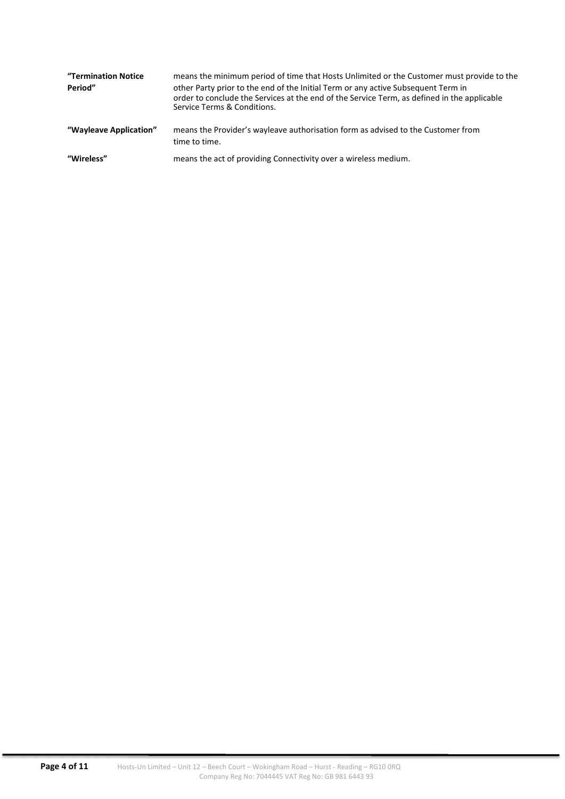| "Termination Notice<br>Period" | means the minimum period of time that Hosts Unlimited or the Customer must provide to the<br>other Party prior to the end of the Initial Term or any active Subsequent Term in<br>order to conclude the Services at the end of the Service Term, as defined in the applicable<br>Service Terms & Conditions. |
|--------------------------------|--------------------------------------------------------------------------------------------------------------------------------------------------------------------------------------------------------------------------------------------------------------------------------------------------------------|
| "Wayleave Application"         | means the Provider's wayleave authorisation form as advised to the Customer from<br>time to time.                                                                                                                                                                                                            |
| "Wireless"                     | means the act of providing Connectivity over a wireless medium.                                                                                                                                                                                                                                              |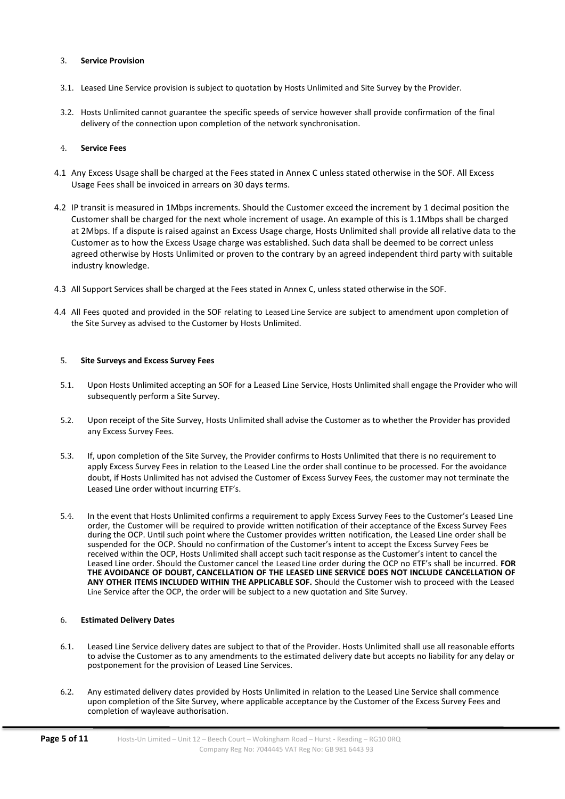#### 3. Service Provision

- 3.1. Leased Line Service provision is subject to quotation by Hosts Unlimited and Site Survey by the Provider.
- 3.2. Hosts Unlimited cannot guarantee the specific speeds of service however shall provide confirmation of the final delivery of the connection upon completion of the network synchronisation.

#### 4. Service Fees

- 4.1 Any Excess Usage shall be charged at the Fees stated in Annex C unless stated otherwise in the SOF. All Excess Usage Fees shall be invoiced in arrears on 30 days terms.
- 4.2 IP transit is measured in 1Mbps increments. Should the Customer exceed the increment by 1 decimal position the Customer shall be charged for the next whole increment of usage. An example of this is 1.1Mbps shall be charged at 2Mbps. If a dispute is raised against an Excess Usage charge, Hosts Unlimited shall provide all relative data to the Customer as to how the Excess Usage charge was established. Such data shall be deemed to be correct unless agreed otherwise by Hosts Unlimited or proven to the contrary by an agreed independent third party with suitable industry knowledge.
- 4.3 All Support Services shall be charged at the Fees stated in Annex C, unless stated otherwise in the SOF.
- 4.4 All Fees quoted and provided in the SOF relating to Leased Line Service are subject to amendment upon completion of the Site Survey as advised to the Customer by Hosts Unlimited.

#### 5. Site Surveys and Excess Survey Fees

- 5.1. Upon Hosts Unlimited accepting an SOF for a Leased Line Service, Hosts Unlimited shall engage the Provider who will subsequently perform a Site Survey.
- 5.2. Upon receipt of the Site Survey, Hosts Unlimited shall advise the Customer as to whether the Provider has provided any Excess Survey Fees.
- 5.3. If, upon completion of the Site Survey, the Provider confirms to Hosts Unlimited that there is no requirement to apply Excess Survey Fees in relation to the Leased Line the order shall continue to be processed. For the avoidance doubt, if Hosts Unlimited has not advised the Customer of Excess Survey Fees, the customer may not terminate the Leased Line order without incurring ETF's.
- 5.4. In the event that Hosts Unlimited confirms a requirement to apply Excess Survey Fees to the Customer's Leased Line order, the Customer will be required to provide written notification of their acceptance of the Excess Survey Fees during the OCP. Until such point where the Customer provides written notification, the Leased Line order shall be suspended for the OCP. Should no confirmation of the Customer's intent to accept the Excess Survey Fees be received within the OCP, Hosts Unlimited shall accept such tacit response as the Customer's intent to cancel the Leased Line order. Should the Customer cancel the Leased Line order during the OCP no ETF's shall be incurred. FOR THE AVOIDANCE OF DOUBT, CANCELLATION OF THE LEASED LINE SERVICE DOES NOT INCLUDE CANCELLATION OF ANY OTHER ITEMS INCLUDED WITHIN THE APPLICABLE SOF. Should the Customer wish to proceed with the Leased Line Service after the OCP, the order will be subject to a new quotation and Site Survey.

#### 6. Estimated Delivery Dates

- 6.1. Leased Line Service delivery dates are subject to that of the Provider. Hosts Unlimited shall use all reasonable efforts to advise the Customer as to any amendments to the estimated delivery date but accepts no liability for any delay or postponement for the provision of Leased Line Services.
- 6.2. Any estimated delivery dates provided by Hosts Unlimited in relation to the Leased Line Service shall commence upon completion of the Site Survey, where applicable acceptance by the Customer of the Excess Survey Fees and completion of wayleave authorisation.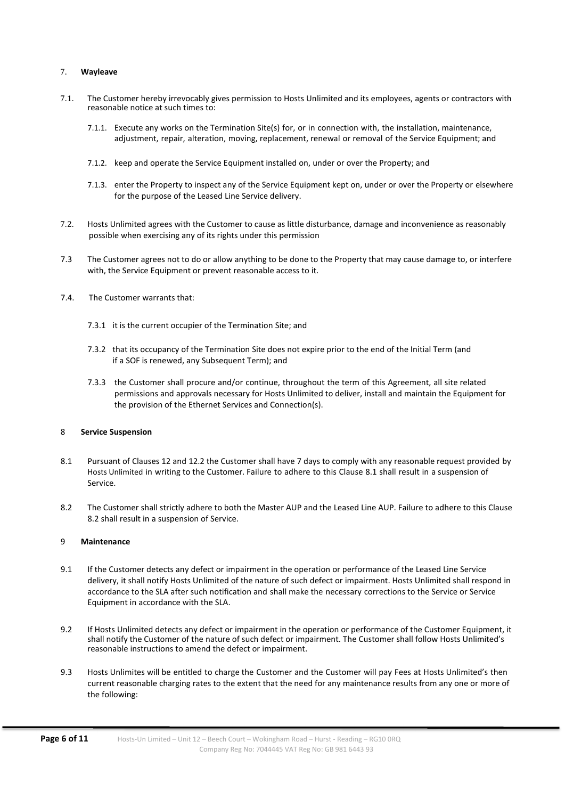#### 7. Wayleave

- 7.1. The Customer hereby irrevocably gives permission to Hosts Unlimited and its employees, agents or contractors with reasonable notice at such times to:
	- 7.1.1. Execute any works on the Termination Site(s) for, or in connection with, the installation, maintenance, adjustment, repair, alteration, moving, replacement, renewal or removal of the Service Equipment; and
	- 7.1.2. keep and operate the Service Equipment installed on, under or over the Property; and
	- 7.1.3. enter the Property to inspect any of the Service Equipment kept on, under or over the Property or elsewhere for the purpose of the Leased Line Service delivery.
- 7.2. Hosts Unlimited agrees with the Customer to cause as little disturbance, damage and inconvenience as reasonably possible when exercising any of its rights under this permission
- 7.3 The Customer agrees not to do or allow anything to be done to the Property that may cause damage to, or interfere with, the Service Equipment or prevent reasonable access to it.
- 7.4. The Customer warrants that:
	- 7.3.1 it is the current occupier of the Termination Site; and
	- 7.3.2 that its occupancy of the Termination Site does not expire prior to the end of the Initial Term (and if a SOF is renewed, any Subsequent Term); and
	- 7.3.3 the Customer shall procure and/or continue, throughout the term of this Agreement, all site related permissions and approvals necessary for Hosts Unlimited to deliver, install and maintain the Equipment for the provision of the Ethernet Services and Connection(s).

#### 8 Service Suspension

- 8.1 Pursuant of Clauses 12 and 12.2 the Customer shall have 7 days to comply with any reasonable request provided by Hosts Unlimited in writing to the Customer. Failure to adhere to this Clause 8.1 shall result in a suspension of Service.
- 8.2 The Customer shall strictly adhere to both the Master AUP and the Leased Line AUP. Failure to adhere to this Clause 8.2 shall result in a suspension of Service.

#### 9 Maintenance

- 9.1 If the Customer detects any defect or impairment in the operation or performance of the Leased Line Service delivery, it shall notify Hosts Unlimited of the nature of such defect or impairment. Hosts Unlimited shall respond in accordance to the SLA after such notification and shall make the necessary corrections to the Service or Service Equipment in accordance with the SLA.
- 9.2 If Hosts Unlimited detects any defect or impairment in the operation or performance of the Customer Equipment, it shall notify the Customer of the nature of such defect or impairment. The Customer shall follow Hosts Unlimited's reasonable instructions to amend the defect or impairment.
- 9.3 Hosts Unlimites will be entitled to charge the Customer and the Customer will pay Fees at Hosts Unlimited's then current reasonable charging rates to the extent that the need for any maintenance results from any one or more of the following: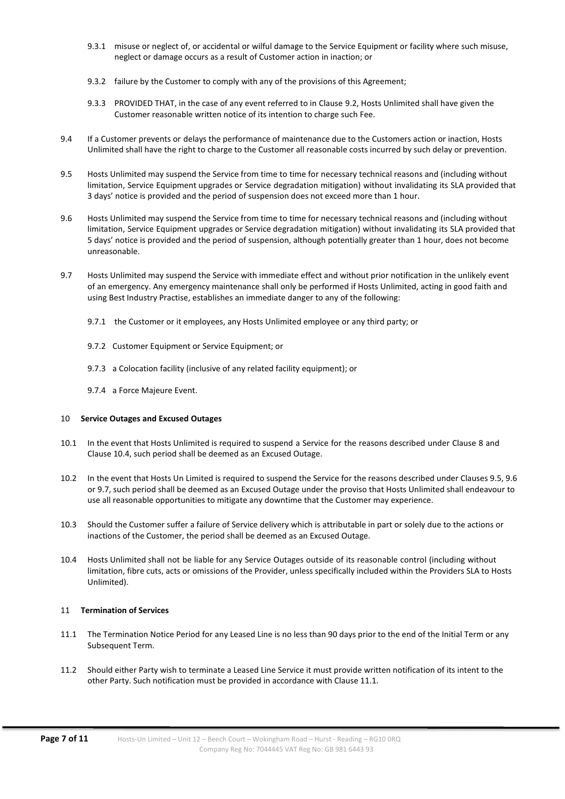- 9.3.1 misuse or neglect of, or accidental or wilful damage to the Service Equipment or facility where such misuse, neglect or damage occurs as a result of Customer action in inaction; or
- 9.3.2 failure by the Customer to comply with any of the provisions of this Agreement;
- 9.3.3 PROVIDED THAT, in the case of any event referred to in Clause 9.2, Hosts Unlimited shall have given the Customer reasonable written notice of its intention to charge such Fee.
- 9.4 If a Customer prevents or delays the performance of maintenance due to the Customers action or inaction, Hosts Unlimited shall have the right to charge to the Customer all reasonable costs incurred by such delay or prevention.
- 9.5 Hosts Unlimited may suspend the Service from time to time for necessary technical reasons and (including without limitation, Service Equipment upgrades or Service degradation mitigation) without invalidating its SLA provided that 3 days' notice is provided and the period of suspension does not exceed more than 1 hour.
- 9.6 Hosts Unlimited may suspend the Service from time to time for necessary technical reasons and (including without limitation, Service Equipment upgrades or Service degradation mitigation) without invalidating its SLA provided that 5 days' notice is provided and the period of suspension, although potentially greater than 1 hour, does not become unreasonable.
- 9.7 Hosts Unlimited may suspend the Service with immediate effect and without prior notification in the unlikely event of an emergency. Any emergency maintenance shall only be performed if Hosts Unlimited, acting in good faith and using Best Industry Practise, establishes an immediate danger to any of the following:
	- 9.7.1 the Customer or it employees, any Hosts Unlimited employee or any third party; or
	- 9.7.2 Customer Equipment or Service Equipment; or
	- 9.7.3 a Colocation facility (inclusive of any related facility equipment); or
	- 9.7.4 a Force Majeure Event.

#### 10 Service Outages and Excused Outages

- 10.1 In the event that Hosts Unlimited is required to suspend a Service for the reasons described under Clause 8 and Clause 10.4, such period shall be deemed as an Excused Outage.
- 10.2 In the event that Hosts Un Limited is required to suspend the Service for the reasons described under Clauses 9.5, 9.6 or 9.7, such period shall be deemed as an Excused Outage under the proviso that Hosts Unlimited shall endeavour to use all reasonable opportunities to mitigate any downtime that the Customer may experience.
- 10.3 Should the Customer suffer a failure of Service delivery which is attributable in part or solely due to the actions or inactions of the Customer, the period shall be deemed as an Excused Outage.
- 10.4 Hosts Unlimited shall not be liable for any Service Outages outside of its reasonable control (including without limitation, fibre cuts, acts or omissions of the Provider, unless specifically included within the Providers SLA to Hosts Unlimited).

#### 11 Termination of Services

- 11.1 The Termination Notice Period for any Leased Line is no less than 90 days prior to the end of the Initial Term or any Subsequent Term.
- 11.2 Should either Party wish to terminate a Leased Line Service it must provide written notification of its intent to the other Party. Such notification must be provided in accordance with Clause 11.1.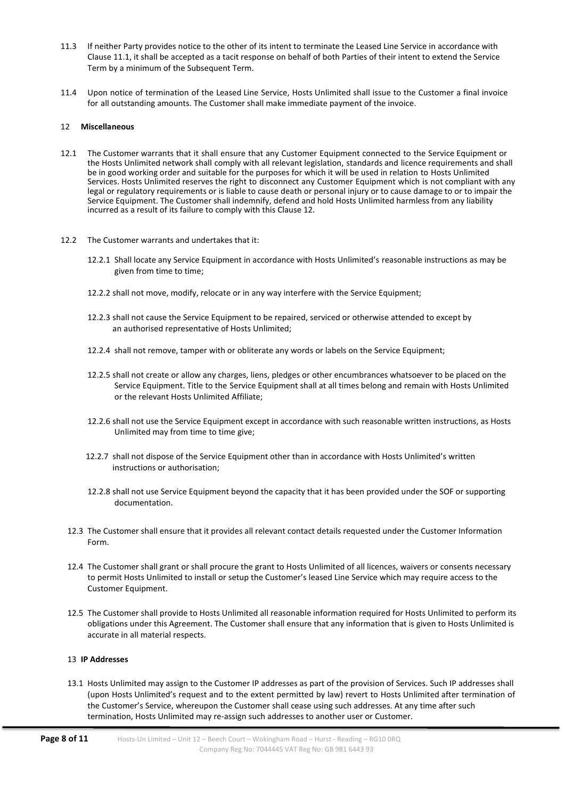- 11.3 If neither Party provides notice to the other of its intent to terminate the Leased Line Service in accordance with Clause 11.1, it shall be accepted as a tacit response on behalf of both Parties of their intent to extend the Service Term by a minimum of the Subsequent Term.
- 11.4 Upon notice of termination of the Leased Line Service, Hosts Unlimited shall issue to the Customer a final invoice for all outstanding amounts. The Customer shall make immediate payment of the invoice.

#### 12 Miscellaneous

- 12.1 The Customer warrants that it shall ensure that any Customer Equipment connected to the Service Equipment or the Hosts Unlimited network shall comply with all relevant legislation, standards and licence requirements and shall be in good working order and suitable for the purposes for which it will be used in relation to Hosts Unlimited Services. Hosts Unlimited reserves the right to disconnect any Customer Equipment which is not compliant with any legal or regulatory requirements or is liable to cause death or personal injury or to cause damage to or to impair the Service Equipment. The Customer shall indemnify, defend and hold Hosts Unlimited harmless from any liability incurred as a result of its failure to comply with this Clause 12.
- 12.2 The Customer warrants and undertakes that it:
	- 12.2.1 Shall locate any Service Equipment in accordance with Hosts Unlimited's reasonable instructions as may be given from time to time;
	- 12.2.2 shall not move, modify, relocate or in any way interfere with the Service Equipment;
	- 12.2.3 shall not cause the Service Equipment to be repaired, serviced or otherwise attended to except by an authorised representative of Hosts Unlimited;
	- 12.2.4 shall not remove, tamper with or obliterate any words or labels on the Service Equipment;
	- 12.2.5 shall not create or allow any charges, liens, pledges or other encumbrances whatsoever to be placed on the Service Equipment. Title to the Service Equipment shall at all times belong and remain with Hosts Unlimited or the relevant Hosts Unlimited Affiliate;
	- 12.2.6 shall not use the Service Equipment except in accordance with such reasonable written instructions, as Hosts Unlimited may from time to time give;
	- 12.2.7 shall not dispose of the Service Equipment other than in accordance with Hosts Unlimited's written instructions or authorisation;
	- 12.2.8 shall not use Service Equipment beyond the capacity that it has been provided under the SOF or supporting documentation.
	- 12.3 The Customer shall ensure that it provides all relevant contact details requested under the Customer Information Form.
	- 12.4 The Customer shall grant or shall procure the grant to Hosts Unlimited of all licences, waivers or consents necessary to permit Hosts Unlimited to install or setup the Customer's leased Line Service which may require access to the Customer Equipment.
	- 12.5 The Customer shall provide to Hosts Unlimited all reasonable information required for Hosts Unlimited to perform its obligations under this Agreement. The Customer shall ensure that any information that is given to Hosts Unlimited is accurate in all material respects.

## 13 IP Addresses

13.1 Hosts Unlimited may assign to the Customer IP addresses as part of the provision of Services. Such IP addresses shall (upon Hosts Unlimited's request and to the extent permitted by law) revert to Hosts Unlimited after termination of the Customer's Service, whereupon the Customer shall cease using such addresses. At any time after such termination, Hosts Unlimited may re-assign such addresses to another user or Customer.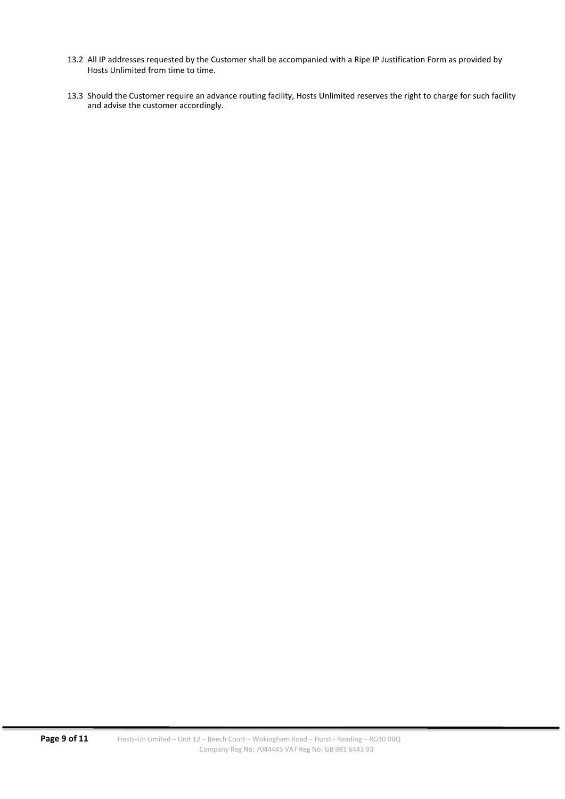- 13.2 All IP addresses requested by the Customer shall be accompanied with a Ripe IP Justification Form as provided by Hosts Unlimited from time to time.
- 13.3 Should the Customer require an advance routing facility, Hosts Unlimited reserves the right to charge for such facility and advise the customer accordingly.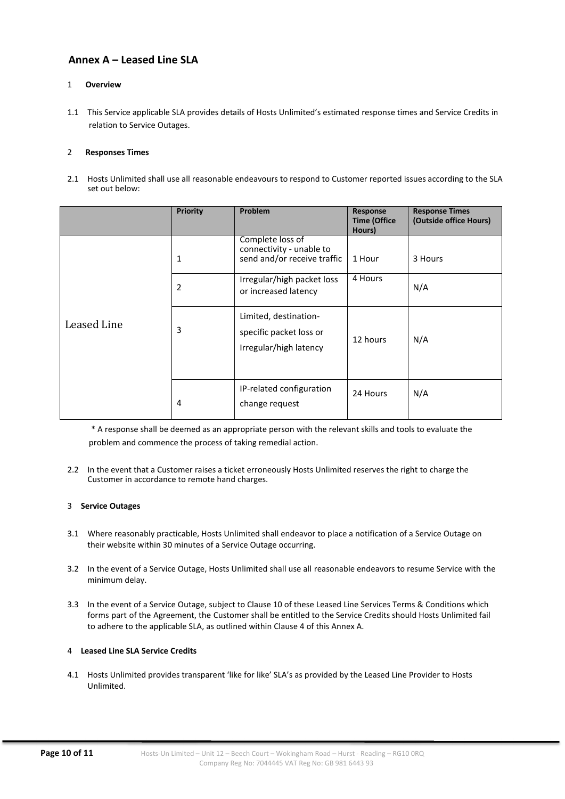# Annex A – Leased Line SLA

## 1 Overview

1.1 This Service applicable SLA provides details of Hosts Unlimited's estimated response times and Service Credits in relation to Service Outages.

#### 2 Responses Times

2.1 Hosts Unlimited shall use all reasonable endeavours to respond to Customer reported issues according to the SLA set out below:

|             | <b>Priority</b> | Problem                                                                     | Response<br><b>Time (Office</b><br>Hours) | <b>Response Times</b><br>(Outside office Hours) |
|-------------|-----------------|-----------------------------------------------------------------------------|-------------------------------------------|-------------------------------------------------|
| Leased Line | 1               | Complete loss of<br>connectivity - unable to<br>send and/or receive traffic | 1 Hour                                    | 3 Hours                                         |
|             | 2               | Irregular/high packet loss<br>or increased latency                          | 4 Hours                                   | N/A                                             |
|             | 3               | Limited, destination-<br>specific packet loss or<br>Irregular/high latency  | 12 hours                                  | N/A                                             |
|             | 4               | IP-related configuration<br>change request                                  | 24 Hours                                  | N/A                                             |

\* A response shall be deemed as an appropriate person with the relevant skills and tools to evaluate the problem and commence the process of taking remedial action.

2.2 In the event that a Customer raises a ticket erroneously Hosts Unlimited reserves the right to charge the Customer in accordance to remote hand charges.

#### 3 Service Outages

- 3.1 Where reasonably practicable, Hosts Unlimited shall endeavor to place a notification of a Service Outage on their website within 30 minutes of a Service Outage occurring.
- 3.2 In the event of a Service Outage, Hosts Unlimited shall use all reasonable endeavors to resume Service with the minimum delay.
- 3.3 In the event of a Service Outage, subject to Clause 10 of these Leased Line Services Terms & Conditions which forms part of the Agreement, the Customer shall be entitled to the Service Credits should Hosts Unlimited fail to adhere to the applicable SLA, as outlined within Clause 4 of this Annex A.

## 4 Leased Line SLA Service Credits

4.1 Hosts Unlimited provides transparent 'like for like' SLA's as provided by the Leased Line Provider to Hosts Unlimited.